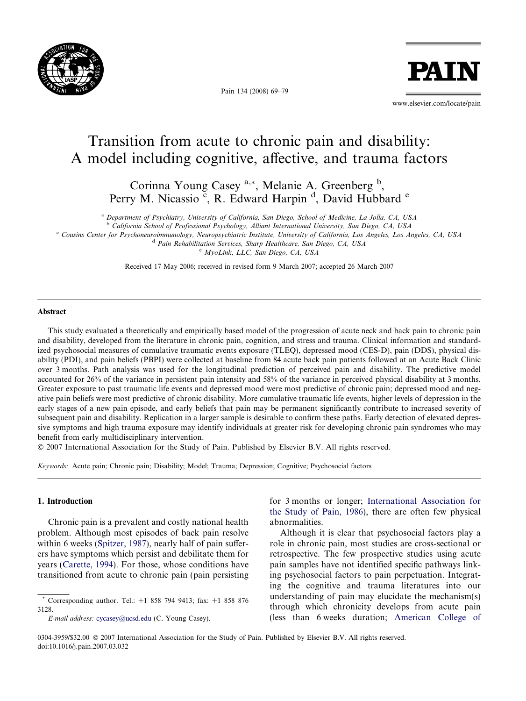

Pain 134 (2008) 69–79

PAT

www.elsevier.com/locate/pain

# Transition from acute to chronic pain and disability: A model including cognitive, affective, and trauma factors

Corinna Young Casey <sup>a,\*</sup>, Melanie A. Greenberg <sup>b</sup>, Perry M. Nicassio<sup>c</sup>, R. Edward Harpin<sup>d</sup>, David Hubbard<sup>e</sup>

<sup>a</sup> Department of Psychiatry, University of California, San Diego, School of Medicine, La Jolla, CA, USA

<sup>b</sup> California School of Professional Psychology, Alliant International University, San Diego, CA, USA

<sup>c</sup> Cousins Center for Psychoneuroimmunology, Neuropsychiatric Institute, University of California, Los Angeles, Los Angeles, CA, USA

<sup>d</sup> Pain Rehabilitation Services, Sharp Healthcare, San Diego, CA, USA

<sup>e</sup> MyoLink, LLC, San Diego, CA, USA

Received 17 May 2006; received in revised form 9 March 2007; accepted 26 March 2007

#### Abstract

This study evaluated a theoretically and empirically based model of the progression of acute neck and back pain to chronic pain and disability, developed from the literature in chronic pain, cognition, and stress and trauma. Clinical information and standardized psychosocial measures of cumulative traumatic events exposure (TLEQ), depressed mood (CES-D), pain (DDS), physical disability (PDI), and pain beliefs (PBPI) were collected at baseline from 84 acute back pain patients followed at an Acute Back Clinic over 3 months. Path analysis was used for the longitudinal prediction of perceived pain and disability. The predictive model accounted for 26% of the variance in persistent pain intensity and 58% of the variance in perceived physical disability at 3 months. Greater exposure to past traumatic life events and depressed mood were most predictive of chronic pain; depressed mood and negative pain beliefs were most predictive of chronic disability. More cumulative traumatic life events, higher levels of depression in the early stages of a new pain episode, and early beliefs that pain may be permanent significantly contribute to increased severity of subsequent pain and disability. Replication in a larger sample is desirable to confirm these paths. Early detection of elevated depressive symptoms and high trauma exposure may identify individuals at greater risk for developing chronic pain syndromes who may benefit from early multidisciplinary intervention.

- 2007 International Association for the Study of Pain. Published by Elsevier B.V. All rights reserved.

Keywords: Acute pain; Chronic pain; Disability; Model; Trauma; Depression; Cognitive; Psychosocial factors

## 1. Introduction

Chronic pain is a prevalent and costly national health problem. Although most episodes of back pain resolve within 6 weeks ([Spitzer, 1987\)](#page-9-0), nearly half of pain sufferers have symptoms which persist and debilitate them for years ([Carette, 1994](#page-8-0)). For those, whose conditions have transitioned from acute to chronic pain (pain persisting

\* Corresponding author. Tel.: +1 858 794 9413; fax: +1 858 876 3128.

E-mail address: [cycasey@ucsd.edu](mailto:cycasey@ucsd.edu) (C. Young Casey).

for 3 months or longer; [International Association for](#page-9-0) [the Study of Pain, 1986](#page-9-0)), there are often few physical abnormalities.

Although it is clear that psychosocial factors play a role in chronic pain, most studies are cross-sectional or retrospective. The few prospective studies using acute pain samples have not identified specific pathways linking psychosocial factors to pain perpetuation. Integrating the cognitive and trauma literatures into our understanding of pain may elucidate the mechanism(s) through which chronicity develops from acute pain (less than 6 weeks duration; [American College of](#page-8-0)

<sup>0304-3959/\$32.00 © 2007</sup> International Association for the Study of Pain. Published by Elsevier B.V. All rights reserved. doi:10.1016/j.pain.2007.03.032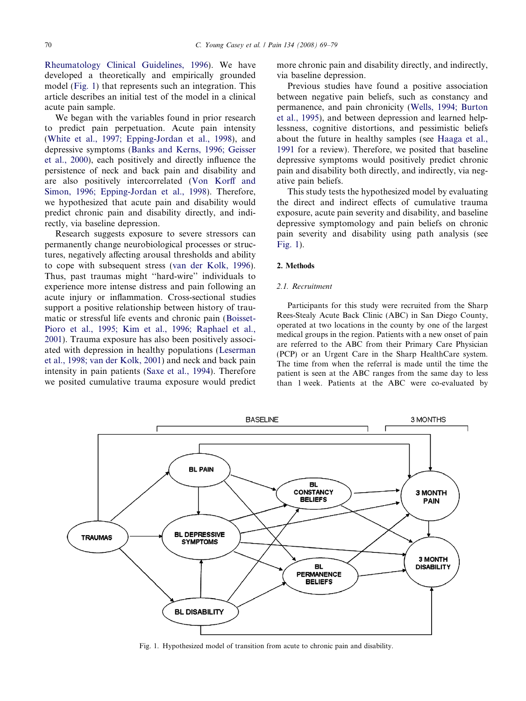[Rheumatology Clinical Guidelines, 1996\)](#page-8-0). We have developed a theoretically and empirically grounded model (Fig. 1) that represents such an integration. This article describes an initial test of the model in a clinical acute pain sample.

We began with the variables found in prior research to predict pain perpetuation. Acute pain intensity ([White et al., 1997; Epping-Jordan et al., 1998\)](#page-10-0), and depressive symptoms ([Banks and Kerns, 1996; Geisser](#page-8-0) [et al., 2000\)](#page-8-0), each positively and directly influence the persistence of neck and back pain and disability and are also positively intercorrelated [\(Von Korff and](#page-10-0) [Simon, 1996; Epping-Jordan et al., 1998](#page-10-0)). Therefore, we hypothesized that acute pain and disability would predict chronic pain and disability directly, and indirectly, via baseline depression.

Research suggests exposure to severe stressors can permanently change neurobiological processes or structures, negatively affecting arousal thresholds and ability to cope with subsequent stress ([van der Kolk, 1996\)](#page-9-0). Thus, past traumas might ''hard-wire'' individuals to experience more intense distress and pain following an acute injury or inflammation. Cross-sectional studies support a positive relationship between history of traumatic or stressful life events and chronic pain [\(Boisset-](#page-8-0)[Pioro et al., 1995; Kim et al., 1996; Raphael et al.,](#page-8-0) [2001\)](#page-8-0). Trauma exposure has also been positively associated with depression in healthy populations ([Leserman](#page-9-0) [et al., 1998; van der Kolk, 2001](#page-9-0)) and neck and back pain intensity in pain patients [\(Saxe et al., 1994](#page-9-0)). Therefore we posited cumulative trauma exposure would predict

more chronic pain and disability directly, and indirectly, via baseline depression.

Previous studies have found a positive association between negative pain beliefs, such as constancy and permanence, and pain chronicity [\(Wells, 1994; Burton](#page-10-0) [et al., 1995](#page-10-0)), and between depression and learned helplessness, cognitive distortions, and pessimistic beliefs about the future in healthy samples (see [Haaga et al.,](#page-9-0) [1991](#page-9-0) for a review). Therefore, we posited that baseline depressive symptoms would positively predict chronic pain and disability both directly, and indirectly, via negative pain beliefs.

This study tests the hypothesized model by evaluating the direct and indirect effects of cumulative trauma exposure, acute pain severity and disability, and baseline depressive symptomology and pain beliefs on chronic pain severity and disability using path analysis (see Fig. 1).

#### 2. Methods

#### 2.1. Recruitment

Participants for this study were recruited from the Sharp Rees-Stealy Acute Back Clinic (ABC) in San Diego County, operated at two locations in the county by one of the largest medical groups in the region. Patients with a new onset of pain are referred to the ABC from their Primary Care Physician (PCP) or an Urgent Care in the Sharp HealthCare system. The time from when the referral is made until the time the patient is seen at the ABC ranges from the same day to less than 1 week. Patients at the ABC were co-evaluated by



Fig. 1. Hypothesized model of transition from acute to chronic pain and disability.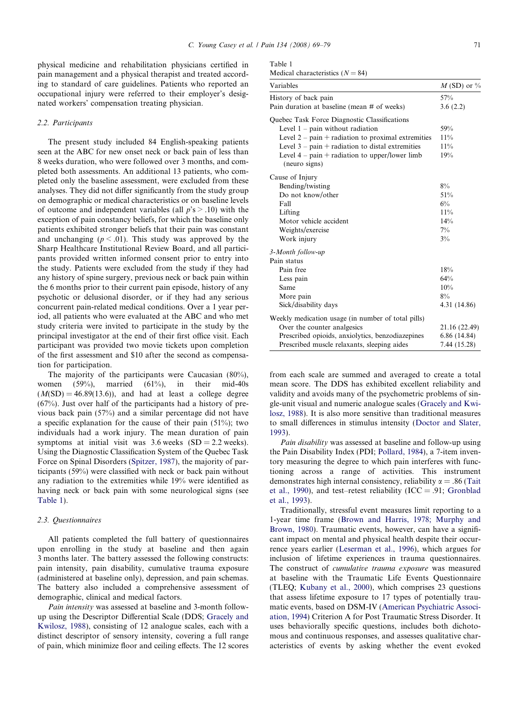physical medicine and rehabilitation physicians certified in pain management and a physical therapist and treated according to standard of care guidelines. Patients who reported an occupational injury were referred to their employer's designated workers' compensation treating physician.

#### 2.2. Participants

The present study included 84 English-speaking patients seen at the ABC for new onset neck or back pain of less than 8 weeks duration, who were followed over 3 months, and completed both assessments. An additional 13 patients, who completed only the baseline assessment, were excluded from these analyses. They did not differ significantly from the study group on demographic or medical characteristics or on baseline levels of outcome and independent variables (all  $p's > .10$ ) with the exception of pain constancy beliefs, for which the baseline only patients exhibited stronger beliefs that their pain was constant and unchanging ( $p \le 0.01$ ). This study was approved by the Sharp Healthcare Institutional Review Board, and all participants provided written informed consent prior to entry into the study. Patients were excluded from the study if they had any history of spine surgery, previous neck or back pain within the 6 months prior to their current pain episode, history of any psychotic or delusional disorder, or if they had any serious concurrent pain-related medical conditions. Over a 1 year period, all patients who were evaluated at the ABC and who met study criteria were invited to participate in the study by the principal investigator at the end of their first office visit. Each participant was provided two movie tickets upon completion of the first assessment and \$10 after the second as compensation for participation.

The majority of the participants were Caucasian (80%), women  $(59\%)$ , married  $(61\%)$ , in their mid-40s  $(M(SD) = 46.89(13.6))$ , and had at least a college degree (67%). Just over half of the participants had a history of previous back pain (57%) and a similar percentage did not have a specific explanation for the cause of their pain  $(51\%)$ ; two individuals had a work injury. The mean duration of pain symptoms at initial visit was  $3.6$  weeks (SD = 2.2 weeks). Using the Diagnostic Classification System of the Quebec Task Force on Spinal Disorders ([Spitzer, 1987](#page-9-0)), the majority of participants (59%) were classified with neck or back pain without any radiation to the extremities while 19% were identified as having neck or back pain with some neurological signs (see Table 1).

#### 2.3. Questionnaires

All patients completed the full battery of questionnaires upon enrolling in the study at baseline and then again 3 months later. The battery assessed the following constructs: pain intensity, pain disability, cumulative trauma exposure (administered at baseline only), depression, and pain schemas. The battery also included a comprehensive assessment of demographic, clinical and medical factors.

Pain intensity was assessed at baseline and 3-month followup using the Descriptor Differential Scale (DDS; [Gracely and](#page-9-0) [Kwilosz, 1988](#page-9-0)), consisting of 12 analogue scales, each with a distinct descriptor of sensory intensity, covering a full range of pain, which minimize floor and ceiling effects. The 12 scores

|  | able |  |  |
|--|------|--|--|
|--|------|--|--|

Medical characteristics  $(N = 84)$ 

| Variables                                                          | M (SD) or $\%$ |  |  |
|--------------------------------------------------------------------|----------------|--|--|
| History of back pain                                               | 57%            |  |  |
| Pain duration at baseline (mean # of weeks)                        | 3.6(2.2)       |  |  |
| Quebec Task Force Diagnostic Classifications                       |                |  |  |
| Level $1$ – pain without radiation                                 | 59%            |  |  |
| Level $2 - \text{pain} + \text{radiation to proximal extremities}$ | 11%            |  |  |
| Level $3 - \text{pain} + \text{radiation to distal extremities}$   | 11%            |  |  |
| Level $4 - \text{pain} + \text{radiation to upper/lower limb}$     | 19%            |  |  |
| (neuro signs)                                                      |                |  |  |
| Cause of Injury                                                    |                |  |  |
| Bending/twisting                                                   | 8%             |  |  |
| Do not know/other                                                  | 51%            |  |  |
| Fall                                                               | $6\%$          |  |  |
| Lifting                                                            | 11%            |  |  |
| Motor vehicle accident                                             | 14%            |  |  |
| Weights/exercise                                                   | $7\%$          |  |  |
| Work injury                                                        | $3\%$          |  |  |
| 3-Month follow-up                                                  |                |  |  |
| Pain status                                                        |                |  |  |
| Pain free                                                          | 18%            |  |  |
| Less pain                                                          | 64%            |  |  |
| Same                                                               | 10%            |  |  |
| More pain                                                          | $8\%$          |  |  |
| Sick/disability days                                               | 4.31 (14.86)   |  |  |
| Weekly medication usage (in number of total pills)                 |                |  |  |
| Over the counter analgesics                                        | 21.16 (22.49)  |  |  |
| Prescribed opioids, anxiolytics, benzodiazepines                   | 6.86(14.84)    |  |  |
| Prescribed muscle relaxants, sleeping aides                        | 7.44 (15.28)   |  |  |

from each scale are summed and averaged to create a total mean score. The DDS has exhibited excellent reliability and validity and avoids many of the psychometric problems of single-unit visual and numeric analogue scales [\(Gracely and Kwi](#page-9-0)[losz, 1988\)](#page-9-0). It is also more sensitive than traditional measures to small differences in stimulus intensity ([Doctor and Slater,](#page-9-0) [1993](#page-9-0)).

Pain disability was assessed at baseline and follow-up using the Pain Disability Index (PDI; [Pollard, 1984](#page-9-0)), a 7-item inventory measuring the degree to which pain interferes with functioning across a range of activities. This instrument demonstrates high internal consistency, reliability  $\alpha = .86$  ([Tait](#page-9-0) [et al., 1990](#page-9-0)), and test–retest reliability ( $ICC = .91$ ; [Gronblad](#page-9-0) [et al., 1993](#page-9-0)).

Traditionally, stressful event measures limit reporting to a 1-year time frame [\(Brown and Harris, 1978; Murphy and](#page-8-0) [Brown, 1980\)](#page-8-0). Traumatic events, however, can have a significant impact on mental and physical health despite their occurrence years earlier ([Leserman et al., 1996](#page-9-0)), which argues for inclusion of lifetime experiences in trauma questionnaires. The construct of cumulative trauma exposure was measured at baseline with the Traumatic Life Events Questionnaire (TLEQ; [Kubany et al., 2000\)](#page-9-0), which comprises 23 questions that assess lifetime exposure to 17 types of potentially traumatic events, based on DSM-IV ([American Psychiatric Associ](#page-8-0)[ation, 1994\)](#page-8-0) Criterion A for Post Traumatic Stress Disorder. It uses behaviorally specific questions, includes both dichotomous and continuous responses, and assesses qualitative characteristics of events by asking whether the event evoked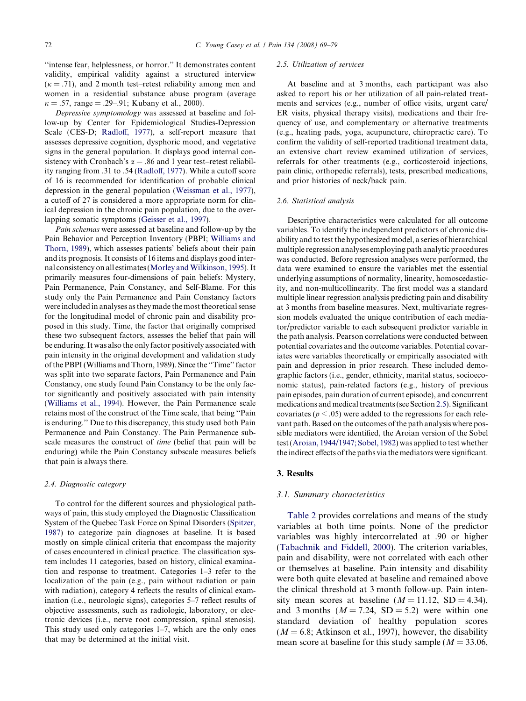''intense fear, helplessness, or horror.'' It demonstrates content validity, empirical validity against a structured interview  $(k = .71)$ , and 2 month test–retest reliability among men and women in a residential substance abuse program (average  $\kappa = .57$ , range = .29–.91; Kubany et al., 2000).

Depressive symptomology was assessed at baseline and follow-up by Center for Epidemiological Studies-Depression Scale (CES-D; [Radloff, 1977](#page-9-0)), a self-report measure that assesses depressive cognition, dysphoric mood, and vegetative signs in the general population. It displays good internal consistency with Cronbach's  $\alpha = .86$  and 1 year test–retest reliability ranging from .31 to .54 ([Radloff, 1977\)](#page-9-0). While a cutoff score of 16 is recommended for identification of probable clinical depression in the general population [\(Weissman et al., 1977](#page-10-0)), a cutoff of 27 is considered a more appropriate norm for clinical depression in the chronic pain population, due to the overlapping somatic symptoms ([Geisser et al., 1997](#page-9-0)).

Pain schemas were assessed at baseline and follow-up by the Pain Behavior and Perception Inventory (PBPI; [Williams and](#page-10-0) [Thorn, 1989](#page-10-0)), which assesses patients' beliefs about their pain and its prognosis. It consists of 16 items and displays good internal consistency on all estimates (Morley and Wilkinson, 1995). It primarily measures four-dimensions of pain beliefs: Mystery, Pain Permanence, Pain Constancy, and Self-Blame. For this study only the Pain Permanence and Pain Constancy factors were included in analyses as they made the most theoretical sense for the longitudinal model of chronic pain and disability proposed in this study. Time, the factor that originally comprised these two subsequent factors, assesses the belief that pain will be enduring. It was also the only factor positively associated with pain intensity in the original development and validation study of the PBPI (Williams and Thorn, 1989). Since the ''Time'' factor was split into two separate factors, Pain Permanence and Pain Constancy, one study found Pain Constancy to be the only factor significantly and positively associated with pain intensity ([Williams et al., 1994](#page-10-0)). However, the Pain Permanence scale retains most of the construct of the Time scale, that being ''Pain is enduring.'' Due to this discrepancy, this study used both Pain Permanence and Pain Constancy. The Pain Permanence subscale measures the construct of time (belief that pain will be enduring) while the Pain Constancy subscale measures beliefs that pain is always there.

#### 2.4. Diagnostic category

To control for the different sources and physiological pathways of pain, this study employed the Diagnostic Classification System of the Quebec Task Force on Spinal Disorders ([Spitzer,](#page-9-0) [1987\)](#page-9-0) to categorize pain diagnoses at baseline. It is based mostly on simple clinical criteria that encompass the majority of cases encountered in clinical practice. The classification system includes 11 categories, based on history, clinical examination and response to treatment. Categories 1–3 refer to the localization of the pain (e.g., pain without radiation or pain with radiation), category 4 reflects the results of clinical examination (i.e., neurologic signs), categories 5–7 reflect results of objective assessments, such as radiologic, laboratory, or electronic devices (i.e., nerve root compression, spinal stenosis). This study used only categories 1–7, which are the only ones that may be determined at the initial visit.

#### 2.5. Utilization of services

At baseline and at 3 months, each participant was also asked to report his or her utilization of all pain-related treatments and services (e.g., number of office visits, urgent care/ ER visits, physical therapy visits), medications and their frequency of use, and complementary or alternative treatments (e.g., heating pads, yoga, acupuncture, chiropractic care). To confirm the validity of self-reported traditional treatment data, an extensive chart review examined utilization of services, referrals for other treatments (e.g., corticosteroid injections, pain clinic, orthopedic referrals), tests, prescribed medications, and prior histories of neck/back pain.

#### 2.6. Statistical analysis

Descriptive characteristics were calculated for all outcome variables. To identify the independent predictors of chronic disability and to test the hypothesized model, a series of hierarchical multiple regression analyses employing path analytic procedures was conducted. Before regression analyses were performed, the data were examined to ensure the variables met the essential underlying assumptions of normality, linearity, homoscedasticity, and non-multicollinearity. The first model was a standard multiple linear regression analysis predicting pain and disability at 3 months from baseline measures. Next, multivariate regression models evaluated the unique contribution of each mediator/predictor variable to each subsequent predictor variable in the path analysis. Pearson correlations were conducted between potential covariates and the outcome variables. Potential covariates were variables theoretically or empirically associated with pain and depression in prior research. These included demographic factors (i.e., gender, ethnicity, marital status, socioeconomic status), pain-related factors (e.g., history of previous pain episodes, pain duration of current episode), and concurrent medications and medical treatments (see Section 2.5). Significant covariates ( $p < .05$ ) were added to the regressions for each relevant path. Based on the outcomes of the path analysis where possible mediators were identified, the Aroian version of the Sobel test [\(Aroian, 1944/1947; Sobel, 1982](#page-8-0)) was applied to test whether the indirect effects of the paths via the mediators were significant.

# 3. Results

#### 3.1. Summary characteristics

[Table 2](#page-4-0) provides correlations and means of the study variables at both time points. None of the predictor variables was highly intercorrelated at .90 or higher ([Tabachnik and Fiddell, 2000](#page-9-0)). The criterion variables, pain and disability, were not correlated with each other or themselves at baseline. Pain intensity and disability were both quite elevated at baseline and remained above the clinical threshold at 3 month follow-up. Pain intensity mean scores at baseline  $(M = 11.12, SD = 4.34)$ , and 3 months ( $M = 7.24$ , SD = 5.2) were within one standard deviation of healthy population scores  $(M = 6.8;$  Atkinson et al., 1997), however, the disability mean score at baseline for this study sample ( $M = 33.06$ ,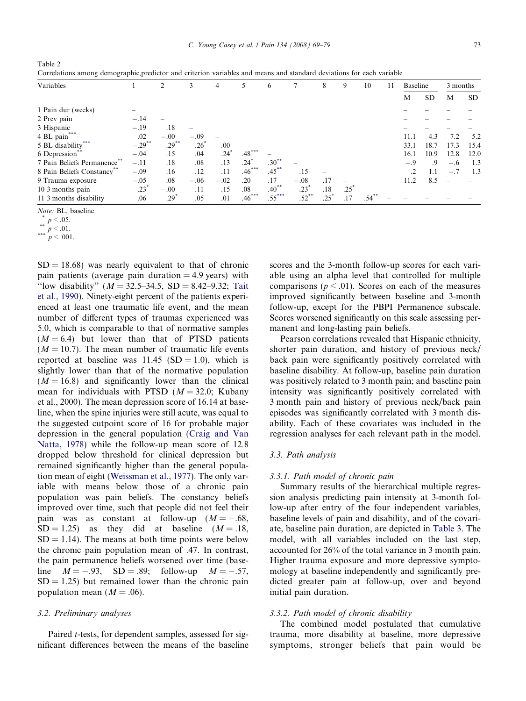<span id="page-4-0"></span>Table 2 Correlations among demographic,predictor and criterion variables and means and standard deviations for each variable

| Variables                              |           | 2               | 3      | $\overline{4}$     |                    | 6        |                    | 8   | 9               | 10       | 11 | Baseline       |           | 3 months |           |
|----------------------------------------|-----------|-----------------|--------|--------------------|--------------------|----------|--------------------|-----|-----------------|----------|----|----------------|-----------|----------|-----------|
|                                        |           |                 |        |                    |                    |          |                    |     |                 |          |    | M              | <b>SD</b> | M        | <b>SD</b> |
| 1 Pain dur (weeks)                     |           |                 |        |                    |                    |          |                    |     |                 |          |    |                |           |          |           |
| 2 Prev pain                            | $-.14$    |                 |        |                    |                    |          |                    |     |                 |          |    |                |           |          |           |
| 3 Hispanic                             | $-.19$    | .18             |        |                    |                    |          |                    |     |                 |          |    |                |           |          |           |
| 4 BL pain***                           | .02       | $-.00$          | $-.09$ |                    |                    |          |                    |     |                 |          |    | 11.1           | 4.3       | 7.2      | 5.2       |
| 5 BL disability <sup>*</sup>           | $-.29***$ | $.29***$        | 26'    | .00                |                    |          |                    |     |                 |          |    | 33.1           | 18.7      | 17.3     | 15.4      |
| 6 Depression                           | $-.04$    | .15             | .04    | $.24$ <sup>*</sup> | $.48***$           |          |                    |     |                 |          |    | 16.1           | 10.9      | 12.8     | 12.0      |
| 7 Pain Beliefs Permanence <sup>®</sup> | $-.11$    | .18             | .08    | .13                | $.24$ <sup>*</sup> | $.30***$ |                    |     |                 |          |    | $-.9$          | 9         | $-.6$    | 1.3       |
| 8 Pain Beliefs Constancy               | $-.09$    | .16             | .12    | .11                | $.46***$           | $.45***$ | .15                |     |                 |          |    | $\overline{2}$ | 1.1       | $-.7$    | 1.3       |
| 9 Trauma exposure                      | $-.05$    | .08             | $-.06$ | $-.02$             | .20                | .17      | $-.08$             | .17 |                 |          |    | 11.2           | 8.5       |          |           |
| 10 3 months pain                       | $.23*$    | $-.00$          | .11    | .15                | .08                | $.40***$ | $.23*$             | .18 | $.25^{\degree}$ |          |    |                |           |          |           |
| 11.3 months disability                 | .06       | $.29^{\degree}$ | .05    | .01                | $.46***$           | $.55***$ | $.52$ <sup>*</sup> | .25 | .17             | $.54***$ |    |                |           |          |           |

Note: BL, baseline.

\*  $p < .05$ .<br>\*\*  $p < .01$ .

 $p < .001$ .

 $SD = 18.68$ ) was nearly equivalent to that of chronic pain patients (average pain duration  $= 4.9$  years) with "low disability"  $(M = 32.5-34.5, SD = 8.42-9.32; Tait$  $(M = 32.5-34.5, SD = 8.42-9.32; Tait$ [et al., 1990](#page-9-0)). Ninety-eight percent of the patients experienced at least one traumatic life event, and the mean number of different types of traumas experienced was 5.0, which is comparable to that of normative samples  $(M = 6.4)$  but lower than that of PTSD patients  $(M = 10.7)$ . The mean number of traumatic life events reported at baseline was  $11.45$  (SD = 1.0), which is slightly lower than that of the normative population  $(M = 16.8)$  and significantly lower than the clinical mean for individuals with PTSD  $(M = 32.0;$  Kubany et al., 2000). The mean depression score of 16.14 at baseline, when the spine injuries were still acute, was equal to the suggested cutpoint score of 16 for probable major depression in the general population [\(Craig and Van](#page-9-0) [Natta, 1978](#page-9-0)) while the follow-up mean score of 12.8 dropped below threshold for clinical depression but remained significantly higher than the general population mean of eight [\(Weissman et al., 1977](#page-10-0)). The only variable with means below those of a chronic pain population was pain beliefs. The constancy beliefs improved over time, such that people did not feel their pain was as constant at follow-up  $(M = -.68, )$  $SD = 1.25$  as they did at baseline  $(M = .18,$  $SD = 1.14$ ). The means at both time points were below the chronic pain population mean of .47. In contrast, the pain permanence beliefs worsened over time (baseline  $M = -.93$ ,  $SD = .89$ ; follow-up  $M = M = -.57$ ,  $SD = 1.25$ ) but remained lower than the chronic pain population mean  $(M = .06)$ .

## 3.2. Preliminary analyses

Paired t-tests, for dependent samples, assessed for significant differences between the means of the baseline scores and the 3-month follow-up scores for each variable using an alpha level that controlled for multiple comparisons ( $p \le 0.01$ ). Scores on each of the measures improved significantly between baseline and 3-month follow-up, except for the PBPI Permanence subscale. Scores worsened significantly on this scale assessing permanent and long-lasting pain beliefs.

Pearson correlations revealed that Hispanic ethnicity, shorter pain duration, and history of previous neck/ back pain were significantly positively correlated with baseline disability. At follow-up, baseline pain duration was positively related to 3 month pain; and baseline pain intensity was significantly positively correlated with 3 month pain and history of previous neck/back pain episodes was significantly correlated with 3 month disability. Each of these covariates was included in the regression analyses for each relevant path in the model.

## 3.3. Path analysis

## 3.3.1. Path model of chronic pain

Summary results of the hierarchical multiple regression analysis predicting pain intensity at 3-month follow-up after entry of the four independent variables, baseline levels of pain and disability, and of the covariate, baseline pain duration, are depicted in [Table 3.](#page-5-0) The model, with all variables included on the last step, accounted for 26% of the total variance in 3 month pain. Higher trauma exposure and more depressive symptomology at baseline independently and significantly predicted greater pain at follow-up, over and beyond initial pain duration.

## 3.3.2. Path model of chronic disability

The combined model postulated that cumulative trauma, more disability at baseline, more depressive symptoms, stronger beliefs that pain would be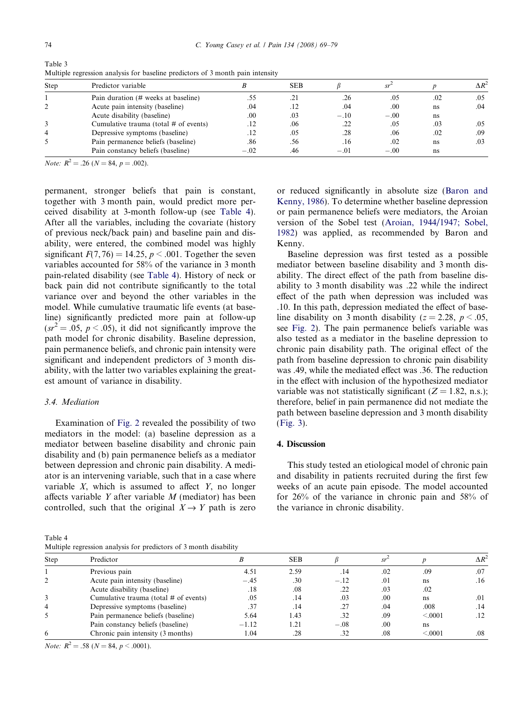| <b>Step</b> | Predictor variable                      |        | <b>SEB</b> |        |        |     | ۸R  |
|-------------|-----------------------------------------|--------|------------|--------|--------|-----|-----|
|             | Pain duration (# weeks at baseline)     |        | .21        | .26    | .05    | .02 | .05 |
|             | Acute pain intensity (baseline)         | .04    | .12        | .04    | .00    | ns  | .04 |
|             | Acute disability (baseline)             | .00    | .03        | $-.10$ | $-.00$ | ns  |     |
|             | Cumulative trauma (total $#$ of events) |        | .06        |        | .05    | .03 | .05 |
| 4           | Depressive symptoms (baseline)          |        | .05        | .28    | .06    | .02 | .09 |
|             | Pain permanence beliefs (baseline)      | .86    | .56        | .16    | .02    | ns  | .03 |
|             | Pain constancy beliefs (baseline)       | $-.02$ | .46        | $-.01$ | $-.00$ | ns  |     |

<span id="page-5-0"></span>Table 3 Multiple regression analysis for baseline predictors of 3 month pain intensity

*Note:*  $R^2 = .26$  ( $N = 84$ ,  $p = .002$ ).

permanent, stronger beliefs that pain is constant, together with 3 month pain, would predict more perceived disability at 3-month follow-up (see Table 4). After all the variables, including the covariate (history of previous neck/back pain) and baseline pain and disability, were entered, the combined model was highly significant  $F(7, 76) = 14.25$ ,  $p < .001$ . Together the seven variables accounted for 58% of the variance in 3 month pain-related disability (see Table 4). History of neck or back pain did not contribute significantly to the total variance over and beyond the other variables in the model. While cumulative traumatic life events (at baseline) significantly predicted more pain at follow-up  $(sr^2 = .05, p < .05)$ , it did not significantly improve the path model for chronic disability. Baseline depression, pain permanence beliefs, and chronic pain intensity were significant and independent predictors of 3 month disability, with the latter two variables explaining the greatest amount of variance in disability.

# 3.4. Mediation

Examination of [Fig. 2](#page-6-0) revealed the possibility of two mediators in the model: (a) baseline depression as a mediator between baseline disability and chronic pain disability and (b) pain permanence beliefs as a mediator between depression and chronic pain disability. A mediator is an intervening variable, such that in a case where variable  $X$ , which is assumed to affect  $Y$ , no longer affects variable  $Y$  after variable  $M$  (mediator) has been controlled, such that the original  $X \rightarrow Y$  path is zero

Table 4 Multiple regression analysis for predictors of 3 month disability

or reduced significantly in absolute size ([Baron and](#page-8-0) [Kenny, 1986](#page-8-0)). To determine whether baseline depression or pain permanence beliefs were mediators, the Aroian version of the Sobel test [\(Aroian, 1944/1947; Sobel,](#page-8-0) [1982\)](#page-8-0) was applied, as recommended by Baron and Kenny.

Baseline depression was first tested as a possible mediator between baseline disability and 3 month disability. The direct effect of the path from baseline disability to 3 month disability was .22 while the indirect effect of the path when depression was included was .10. In this path, depression mediated the effect of baseline disability on 3 month disability ( $z = 2.28$ ,  $p < .05$ , see [Fig. 2](#page-6-0)). The pain permanence beliefs variable was also tested as a mediator in the baseline depression to chronic pain disability path. The original effect of the path from baseline depression to chronic pain disability was .49, while the mediated effect was .36. The reduction in the effect with inclusion of the hypothesized mediator variable was not statistically significant ( $Z = 1.82$ , n.s.); therefore, belief in pain permanence did not mediate the path between baseline depression and 3 month disability ([Fig. 3](#page-6-0)).

## 4. Discussion

This study tested an etiological model of chronic pain and disability in patients recruited during the first few weeks of an acute pain episode. The model accounted for 26% of the variance in chronic pain and 58% of the variance in chronic disability.

| Step | Predictor                               |         | <b>SEB</b> |        |      |         | $\Lambda R^2$ |
|------|-----------------------------------------|---------|------------|--------|------|---------|---------------|
|      | Previous pain                           | 4.51    | 2.59       | .14    | .02  | .09     | .07           |
|      | Acute pain intensity (baseline)         | $-.45$  | .30        | $-.12$ | .01  | ns      | .16           |
|      | Acute disability (baseline)             | .18     | .08        | .22    | .03  | .02     |               |
|      | Cumulative trauma (total $#$ of events) | .05     | .14        | .03    | .00  | ns      | .01           |
| 4    | Depressive symptoms (baseline)          | .37     | .14        | .27    | .04  | .008    | .14           |
|      | Pain permanence beliefs (baseline)      | 5.64    | l.43       | .32    | .09  | < 0.001 | $.12\,$       |
|      | Pain constancy beliefs (baseline)       | $-1.12$ | 1.21       | $-.08$ | .00. | ns      |               |
| 6    | Chronic pain intensity (3 months)       | 1.04    | .28        | .32    | .08  | < 0.001 | .08           |

*Note:*  $R^2 = .58$  ( $N = 84$ ,  $p < .0001$ ).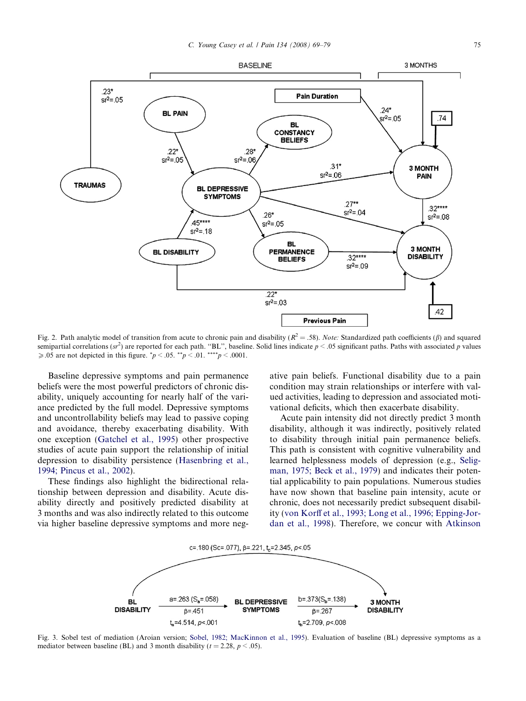<span id="page-6-0"></span>

Fig. 2. Path analytic model of transition from acute to chronic pain and disability ( $R^2 = .58$ ). Note: Standardized path coefficients ( $\beta$ ) and squared semipartial correlations (sr<sup>2</sup>) are reported for each path. "BL", baseline. Solid lines indicate  $p < .05$  significant paths. Paths with associated p values  $\geq 0.05$  are not depicted in this figure.  $p < 0.05$ .  $m_p < 0.01$ .  $m_p < 0.0001$ .

Baseline depressive symptoms and pain permanence beliefs were the most powerful predictors of chronic disability, uniquely accounting for nearly half of the variance predicted by the full model. Depressive symptoms and uncontrollability beliefs may lead to passive coping and avoidance, thereby exacerbating disability. With one exception ([Gatchel et al., 1995](#page-9-0)) other prospective studies of acute pain support the relationship of initial depression to disability persistence [\(Hasenbring et al.,](#page-9-0) [1994; Pincus et al., 2002](#page-9-0)).

These findings also highlight the bidirectional relationship between depression and disability. Acute disability directly and positively predicted disability at 3 months and was also indirectly related to this outcome via higher baseline depressive symptoms and more negative pain beliefs. Functional disability due to a pain condition may strain relationships or interfere with valued activities, leading to depression and associated motivational deficits, which then exacerbate disability.

Acute pain intensity did not directly predict 3 month disability, although it was indirectly, positively related to disability through initial pain permanence beliefs. This path is consistent with cognitive vulnerability and learned helplessness models of depression (e.g., [Selig](#page-9-0)[man, 1975; Beck et al., 1979\)](#page-9-0) and indicates their potential applicability to pain populations. Numerous studies have now shown that baseline pain intensity, acute or chronic, does not necessarily predict subsequent disability [\(von Korff et al., 1993; Long et al., 1996; Epping-Jor](#page-10-0)[dan et al., 1998\)](#page-10-0). Therefore, we concur with [Atkinson](#page-8-0)



Fig. 3. Sobel test of mediation (Aroian version; [Sobel, 1982; MacKinnon et al., 1995](#page-9-0)). Evaluation of baseline (BL) depressive symptoms as a mediator between baseline (BL) and 3 month disability ( $t = 2.28$ ,  $p < .05$ ).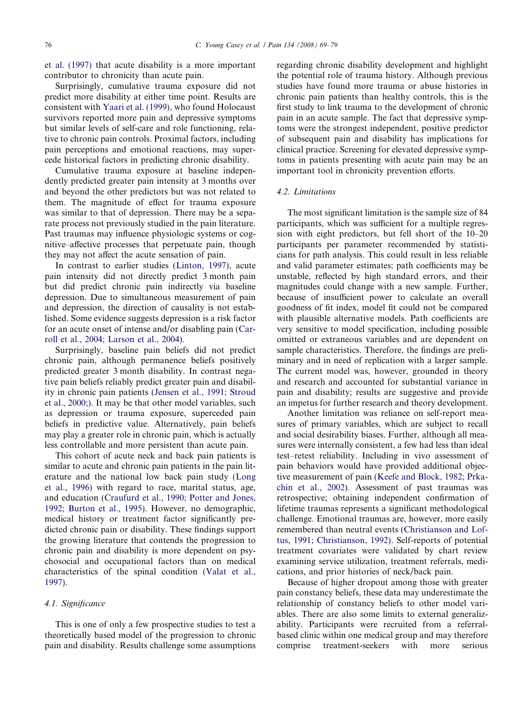[et al. \(1997\)](#page-8-0) that acute disability is a more important contributor to chronicity than acute pain.

Surprisingly, cumulative trauma exposure did not predict more disability at either time point. Results are consistent with [Yaari et al. \(1999\)](#page-10-0), who found Holocaust survivors reported more pain and depressive symptoms but similar levels of self-care and role functioning, relative to chronic pain controls. Proximal factors, including pain perceptions and emotional reactions, may supercede historical factors in predicting chronic disability.

Cumulative trauma exposure at baseline independently predicted greater pain intensity at 3 months over and beyond the other predictors but was not related to them. The magnitude of effect for trauma exposure was similar to that of depression. There may be a separate process not previously studied in the pain literature. Past traumas may influence physiologic systems or cognitive–affective processes that perpetuate pain, though they may not affect the acute sensation of pain.

In contrast to earlier studies [\(Linton, 1997](#page-9-0)), acute pain intensity did not directly predict 3 month pain but did predict chronic pain indirectly via baseline depression. Due to simultaneous measurement of pain and depression, the direction of causality is not established. Some evidence suggests depression is a risk factor for an acute onset of intense and/or disabling pain [\(Car](#page-8-0)[roll et al., 2004; Larson et al., 2004](#page-8-0)).

Surprisingly, baseline pain beliefs did not predict chronic pain, although permanence beliefs positively predicted greater 3 month disability. In contrast negative pain beliefs reliably predict greater pain and disability in chronic pain patients ([Jensen et al., 1991; Stroud](#page-9-0) [et al., 2000](#page-9-0);). It may be that other model variables, such as depression or trauma exposure, superceded pain beliefs in predictive value. Alternatively, pain beliefs may play a greater role in chronic pain, which is actually less controllable and more persistent than acute pain.

This cohort of acute neck and back pain patients is similar to acute and chronic pain patients in the pain literature and the national low back pain study [\(Long](#page-9-0) [et al., 1996](#page-9-0)) with regard to race, marital status, age, and education [\(Craufurd et al., 1990; Potter and Jones,](#page-9-0) [1992; Burton et al., 1995\)](#page-9-0). However, no demographic, medical history or treatment factor significantly predicted chronic pain or disability. These findings support the growing literature that contends the progression to chronic pain and disability is more dependent on psychosocial and occupational factors than on medical characteristics of the spinal condition [\(Valat et al.,](#page-9-0) [1997\)](#page-9-0).

## 4.1. Significance

This is one of only a few prospective studies to test a theoretically based model of the progression to chronic pain and disability. Results challenge some assumptions regarding chronic disability development and highlight the potential role of trauma history. Although previous studies have found more trauma or abuse histories in chronic pain patients than healthy controls, this is the first study to link trauma to the development of chronic pain in an acute sample. The fact that depressive symptoms were the strongest independent, positive predictor of subsequent pain and disability has implications for clinical practice. Screening for elevated depressive symptoms in patients presenting with acute pain may be an important tool in chronicity prevention efforts.

#### 4.2. Limitations

The most significant limitation is the sample size of 84 participants, which was sufficient for a multiple regression with eight predictors, but fell short of the 10–20 participants per parameter recommended by statisticians for path analysis. This could result in less reliable and valid parameter estimates; path coefficients may be unstable, reflected by high standard errors, and their magnitudes could change with a new sample. Further, because of insufficient power to calculate an overall goodness of fit index, model fit could not be compared with plausible alternative models. Path coefficients are very sensitive to model specification, including possible omitted or extraneous variables and are dependent on sample characteristics. Therefore, the findings are preliminary and in need of replication with a larger sample. The current model was, however, grounded in theory and research and accounted for substantial variance in pain and disability; results are suggestive and provide an impetus for further research and theory development.

Another limitation was reliance on self-report measures of primary variables, which are subject to recall and social desirability biases. Further, although all measures were internally consistent, a few had less than ideal test–retest reliability. Including in vivo assessment of pain behaviors would have provided additional objective measurement of pain [\(Keefe and Block, 1982; Prka](#page-9-0)[chin et al., 2002\)](#page-9-0). Assessment of past traumas was retrospective; obtaining independent confirmation of lifetime traumas represents a significant methodological challenge. Emotional traumas are, however, more easily remembered than neutral events ([Christianson and Lof](#page-9-0)[tus, 1991; Christianson, 1992\)](#page-9-0). Self-reports of potential treatment covariates were validated by chart review examining service utilization, treatment referrals, medications, and prior histories of neck/back pain.

Because of higher dropout among those with greater pain constancy beliefs, these data may underestimate the relationship of constancy beliefs to other model variables. There are also some limits to external generalizability. Participants were recruited from a referralbased clinic within one medical group and may therefore comprise treatment-seekers with more serious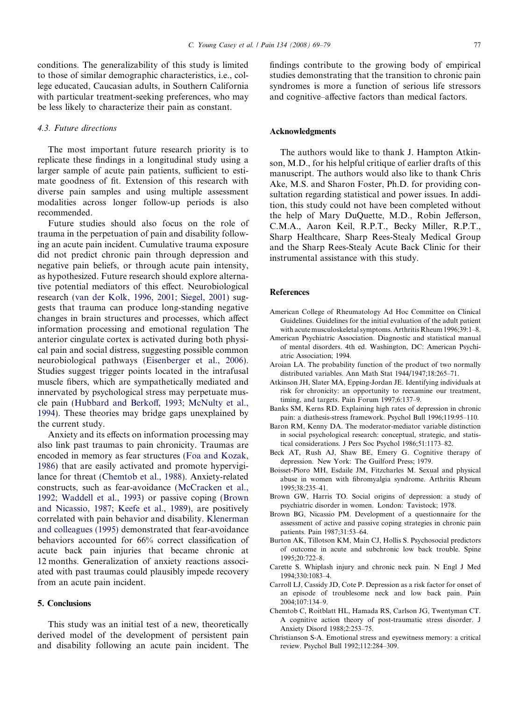<span id="page-8-0"></span>conditions. The generalizability of this study is limited to those of similar demographic characteristics, i.e., college educated, Caucasian adults, in Southern California with particular treatment-seeking preferences, who may be less likely to characterize their pain as constant.

## 4.3. Future directions

The most important future research priority is to replicate these findings in a longitudinal study using a larger sample of acute pain patients, sufficient to estimate goodness of fit. Extension of this research with diverse pain samples and using multiple assessment modalities across longer follow-up periods is also recommended.

Future studies should also focus on the role of trauma in the perpetuation of pain and disability following an acute pain incident. Cumulative trauma exposure did not predict chronic pain through depression and negative pain beliefs, or through acute pain intensity, as hypothesized. Future research should explore alternative potential mediators of this effect. Neurobiological research [\(van der Kolk, 1996, 2001; Siegel, 2001](#page-9-0)) suggests that trauma can produce long-standing negative changes in brain structures and processes, which affect information processing and emotional regulation The anterior cingulate cortex is activated during both physical pain and social distress, suggesting possible common neurobiological pathways [\(Eisenberger et al., 2006\)](#page-9-0). Studies suggest trigger points located in the intrafusal muscle fibers, which are sympathetically mediated and innervated by psychological stress may perpetuate muscle pain [\(Hubbard and Berkoff, 1993; McNulty et al.,](#page-9-0) [1994](#page-9-0)). These theories may bridge gaps unexplained by the current study.

Anxiety and its effects on information processing may also link past traumas to pain chronicity. Traumas are encoded in memory as fear structures ([Foa and Kozak,](#page-9-0) [1986](#page-9-0)) that are easily activated and promote hypervigilance for threat (Chemtob et al., 1988). Anxiety-related constructs, such as fear-avoidance [\(McCracken et al.,](#page-9-0) [1992; Waddell et al., 1993\)](#page-9-0) or passive coping (Brown and Nicassio, 1987; Keefe et al., 1989), are positively correlated with pain behavior and disability. [Klenerman](#page-9-0) [and colleagues \(1995\)](#page-9-0) demonstrated that fear-avoidance behaviors accounted for 66% correct classification of acute back pain injuries that became chronic at 12 months. Generalization of anxiety reactions associated with past traumas could plausibly impede recovery from an acute pain incident.

## 5. Conclusions

This study was an initial test of a new, theoretically derived model of the development of persistent pain and disability following an acute pain incident. The findings contribute to the growing body of empirical studies demonstrating that the transition to chronic pain syndromes is more a function of serious life stressors and cognitive–affective factors than medical factors.

## Acknowledgments

The authors would like to thank J. Hampton Atkinson, M.D., for his helpful critique of earlier drafts of this manuscript. The authors would also like to thank Chris Ake, M.S. and Sharon Foster, Ph.D. for providing consultation regarding statistical and power issues. In addition, this study could not have been completed without the help of Mary DuQuette, M.D., Robin Jefferson, C.M.A., Aaron Keil, R.P.T., Becky Miller, R.P.T., Sharp Healthcare, Sharp Rees-Stealy Medical Group and the Sharp Rees-Stealy Acute Back Clinic for their instrumental assistance with this study.

## References

- American College of Rheumatology Ad Hoc Committee on Clinical Guidelines. Guidelines for the initial evaluation of the adult patient with acute musculoskeletal symptoms. Arthritis Rheum 1996;39:1–8.
- American Psychiatric Association. Diagnostic and statistical manual of mental disorders. 4th ed. Washington, DC: American Psychiatric Association; 1994.
- Aroian LA. The probability function of the product of two normally distributed variables. Ann Math Stat 1944/1947;18:265–71.
- Atkinson JH, Slater MA, Epping-Jordan JE. Identifying individuals at risk for chronicity: an opportunity to reexamine our treatment, timing, and targets. Pain Forum 1997;6:137–9.
- Banks SM, Kerns RD. Explaining high rates of depression in chronic pain: a diathesis-stress framework. Psychol Bull 1996;119:95–110.
- Baron RM, Kenny DA. The moderator-mediator variable distinction in social psychological research: conceptual, strategic, and statistical considerations. J Pers Soc Psychol 1986;51:1173–82.
- Beck AT, Rush AJ, Shaw BE, Emery G. Cognitive therapy of depression. New York: The Guilford Press; 1979.
- Boisset-Pioro MH, Esdaile JM, Fitzcharles M. Sexual and physical abuse in women with fibromyalgia syndrome. Arthritis Rheum 1995;38:235–41.
- Brown GW, Harris TO. Social origins of depression: a study of psychiatric disorder in women. London: Tavistock; 1978.
- Brown BG, Nicassio PM. Development of a questionnaire for the assessment of active and passive coping strategies in chronic pain patients. Pain 1987;31:53–64.
- Burton AK, Tillotson KM, Main CJ, Hollis S. Psychosocial predictors of outcome in acute and subchronic low back trouble. Spine 1995;20:722–8.
- Carette S. Whiplash injury and chronic neck pain. N Engl J Med 1994;330:1083–4.
- Carroll LJ, Cassidy JD, Cote P. Depression as a risk factor for onset of an episode of troublesome neck and low back pain. Pain 2004;107:134–9.
- Chemtob C, Roitblatt HL, Hamada RS, Carlson JG, Twentyman CT. A cognitive action theory of post-traumatic stress disorder. J Anxiety Disord 1988;2:253–75.
- Christianson S-A. Emotional stress and eyewitness memory: a critical review. Psychol Bull 1992;112:284–309.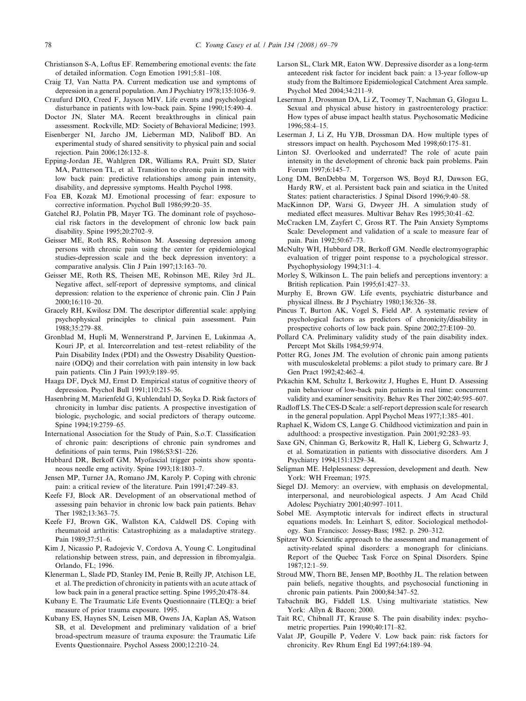- <span id="page-9-0"></span>Christianson S-A, Loftus EF. Remembering emotional events: the fate of detailed information. Cogn Emotion 1991;5:81–108.
- Craig TJ, Van Natta PA. Current medication use and symptoms of depression in a general population. Am J Psychiatry 1978;135:1036–9.
- Craufurd DIO, Creed F, Jayson MIV. Life events and psychological disturbance in patients with low-back pain. Spine 1990;15:490–4.
- Doctor JN, Slater MA. Recent breakthroughs in clinical pain assessment. Rockville, MD: Society of Behavioral Medicine; 1993.
- Eisenberger NI, Jarcho JM, Lieberman MD, Naliboff BD. An experimental study of shared sensitivity to physical pain and social rejection. Pain 2006;126:132–8.
- Epping-Jordan JE, Wahlgren DR, Williams RA, Pruitt SD, Slater MA, Pattterson TL, et al. Transition to chronic pain in men with low back pain: predictive relationships among pain intensity, disability, and depressive symptoms. Health Psychol 1998.
- Foa EB, Kozak MJ. Emotional processing of fear: exposure to corrective information. Psychol Bull 1986;99:20–35.
- Gatchel RJ, Polatin PB, Mayer TG. The dominant role of psychosocial risk factors in the development of chronic low back pain disability. Spine 1995;20:2702–9.
- Geisser ME, Roth RS, Robinson M. Assessing depression among persons with chronic pain using the center for epidemiological studies-depression scale and the beck depression inventory: a comparative analysis. Clin J Pain 1997;13:163–70.
- Geisser ME, Roth RS, Theisen ME, Robinson ME, Riley 3rd JL. Negative affect, self-report of depressive symptoms, and clinical depression: relation to the experience of chronic pain. Clin J Pain 2000;16:110–20.
- Gracely RH, Kwilosz DM. The descriptor differential scale: applying psychophysical principles to clinical pain assessment. Pain 1988;35:279–88.
- Gronblad M, Hupli M, Wennerstrand P, Jarvinen E, Lukinmaa A, Kouri JP, et al. Intercorrelation and test–retest reliability of the Pain Disability Index (PDI) and the Oswestry Disability Questionnaire (ODQ) and their correlation with pain intensity in low back pain patients. Clin J Pain 1993;9:189–95.
- Haaga DF, Dyck MJ, Ernst D. Empirical status of cognitive theory of depression. Psychol Bull 1991;110:215–36.
- Hasenbring M, Marienfeld G, Kuhlendahl D, Soyka D. Risk factors of chronicity in lumbar disc patients. A prospective investigation of biologic, psychologic, and social predictors of therapy outcome. Spine 1994;19:2759–65.
- International Association for the Study of Pain, S.o.T. Classification of chronic pain: descriptions of chronic pain syndromes and definitions of pain terms, Pain 1986;S3:S1–226.
- Hubbard DR, Berkoff GM. Myofascial trigger points show spontaneous needle emg activity. Spine 1993;18:1803–7.
- Jensen MP, Turner JA, Romano JM, Karoly P. Coping with chronic pain: a critical review of the literature. Pain 1991;47:249–83.
- Keefe FJ, Block AR. Development of an observational method of assessing pain behavior in chronic low back pain patients. Behav Ther 1982;13:363–75.
- Keefe FJ, Brown GK, Wallston KA, Caldwell DS. Coping with rheumatoid arthritis: Catastrophizing as a maladaptive strategy. Pain 1989;37:51–6.
- Kim J, Nicassio P, Radojevic V, Cordova A, Young C. Longitudinal relationship between stress, pain, and depression in fibromyalgia. Orlando, FL; 1996.
- Klenerman L, Slade PD, Stanley IM, Penie B, Reilly JP, Atchison LE, et al. The prediction of chronicity in patients with an acute attack of low back pain in a general practice setting. Spine 1995;20:478–84.
- Kubany E. The Traumatic Life Events Questionnaire (TLEQ): a brief measure of prior trauma exposure. 1995.
- Kubany ES, Haynes SN, Leisen MB, Owens JA, Kaplan AS, Watson SB, et al. Development and preliminary validation of a brief broad-spectrum measure of trauma exposure: the Traumatic Life Events Questionnaire. Psychol Assess 2000;12:210–24.
- Larson SL, Clark MR, Eaton WW. Depressive disorder as a long-term antecedent risk factor for incident back pain: a 13-year follow-up study from the Baltimore Epidemiological Catchment Area sample. Psychol Med 2004;34:211–9.
- Leserman J, Drossman DA, Li Z, Toomey T, Nachman G, Glogau L. Sexual and physical abuse history in gastroenterology practice: How types of abuse impact health status. Psychosomatic Medicine 1996;58:4–15.
- Leserman J, Li Z, Hu YJB, Drossman DA. How multiple types of stressors impact on health. Psychosom Med 1998;60:175–81.
- Linton SJ. Overlooked and underrated? The role of acute pain intensity in the development of chronic back pain problems. Pain Forum 1997;6:145–7.
- Long DM, BenDebba M, Torgerson WS, Boyd RJ, Dawson EG, Hardy RW, et al. Persistent back pain and sciatica in the United States: patient characteristics. J Spinal Disord 1996;9:40–58.
- MacKinnon DP, Warsi G, Dwyeer JH. A simulation study of mediated effect measures. Multivar Behav Res 1995;30:41–62.
- McCracken LM, Zayfert C, Gross RT. The Pain Anxiety Symptoms Scale: Development and validation of a scale to measure fear of pain. Pain 1992;50:67–73.
- McNulty WH, Hubbard DR, Berkoff GM. Needle electromyographic evaluation of trigger point response to a psychological stressor. Psychophysiology 1994;31:1–4.
- Morley S, Wilkinson L. The pain beliefs and perceptions inventory: a British replication. Pain 1995;61:427–33.
- Murphy E, Brown GW. Life events, psychiatric disturbance and physical illness. Br J Psychiatry 1980;136:326–38.
- Pincus T, Burton AK, Vogel S, Field AP. A systematic review of psychological factors as predictors of chronicity/disability in prospective cohorts of low back pain. Spine 2002;27:E109–20.
- Pollard CA. Preliminary validity study of the pain disability index. Percept Mot Skills 1984;59:974.
- Potter RG, Jones JM. The evolution of chronic pain among patients with musculoskeletal problems: a pilot study to primary care. Br J Gen Pract 1992;42:462–4.
- Prkachin KM, Schultz I, Berkowitz J, Hughes E, Hunt D. Assessing pain behaviour of low-back pain patients in real time: concurrent validity and examiner sensitivity. Behav Res Ther 2002;40:595–607.
- Radloff LS. The CES-D Scale: a self-report depression scale for research in the general population. Appl Psychol Meas 1977;1:385–401.
- Raphael K, Widom CS, Lange G. Childhood victimization and pain in adulthood: a prospective investigation. Pain 2001;92:283–93.
- Saxe GN, Chinman G, Berkowitz R, Hall K, Lieberg G, Schwartz J, et al. Somatization in patients with dissociative disorders. Am J Psychiatry 1994;151:1329–34.
- Seligman ME. Helplessness: depression, development and death. New York: WH Freeman; 1975.
- Siegel DJ. Memory: an overview, with emphasis on developmental, interpersonal, and neurobiological aspects. J Am Acad Child Adolesc Psychiatry 2001;40:997–1011.
- Sobel ME. Asymptotic intervals for indirect effects in structural equations models. In: Leinhart S, editor. Sociological methodology. San Francisco: Jossey-Bass; 1982. p. 290–312.
- Spitzer WO. Scientific approach to the assessment and management of activity-related spinal disorders: a monograph for clinicians. Report of the Quebec Task Force on Spinal Disorders. Spine 1987;12:1–59.
- Stroud MW, Thorn BE, Jensen MP, Boothby JL. The relation between pain beliefs, negative thoughts, and psychosocial functioning in chronic pain patients. Pain 2000;84:347–52.
- Tabachnik BG, Fiddell LS. Using multivariate statistics. New York: Allyn & Bacon; 2000.
- Tait RC, Chibnall JT, Krause S. The pain disability index: psychometric properties. Pain 1990;40:171–82.
- Valat JP, Goupille P, Vedere V. Low back pain: risk factors for chronicity. Rev Rhum Engl Ed 1997;64:189–94.